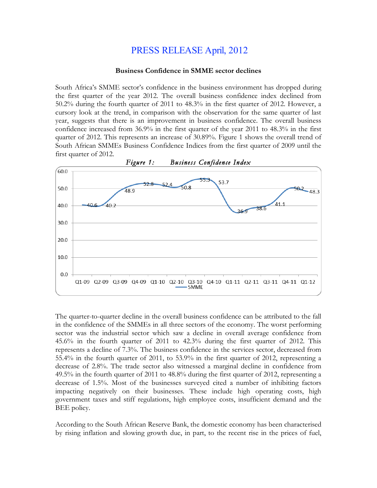## PRESS RELEASE April, 2012

## **Business Confidence in SMME sector declines**

South Africa's SMME sector's confidence in the business environment has dropped during the first quarter of the year 2012. The overall business confidence index declined from 50.2% during the fourth quarter of 2011 to 48.3% in the first quarter of 2012. However, a cursory look at the trend, in comparison with the observation for the same quarter of last year, suggests that there is an improvement in business confidence. The overall business confidence increased from 36.9% in the first quarter of the year 2011 to 48.3% in the first quarter of 2012. This represents an increase of 30.89%. Figure 1 shows the overall trend of South African SMMEs Business Confidence Indices from the first quarter of 2009 until the first quarter of 2012.



The quarter-to-quarter decline in the overall business confidence can be attributed to the fall in the confidence of the SMMEs in all three sectors of the economy. The worst performing sector was the industrial sector which saw a decline in overall average confidence from 45.6% in the fourth quarter of 2011 to 42.3% during the first quarter of 2012. This represents a decline of 7.3%. The business confidence in the services sector, decreased from 55.4% in the fourth quarter of 2011, to 53.9% in the first quarter of 2012, representing a decrease of 2.8%. The trade sector also witnessed a marginal decline in confidence from 49.5% in the fourth quarter of 2011 to 48.8% during the first quarter of 2012, representing a decrease of 1.5%. Most of the businesses surveyed cited a number of inhibiting factors impacting negatively on their businesses. These include high operating costs, high government taxes and stiff regulations, high employee costs, insufficient demand and the BEE policy.

According to the South African Reserve Bank, the domestic economy has been characterised by rising inflation and slowing growth due, in part, to the recent rise in the prices of fuel,